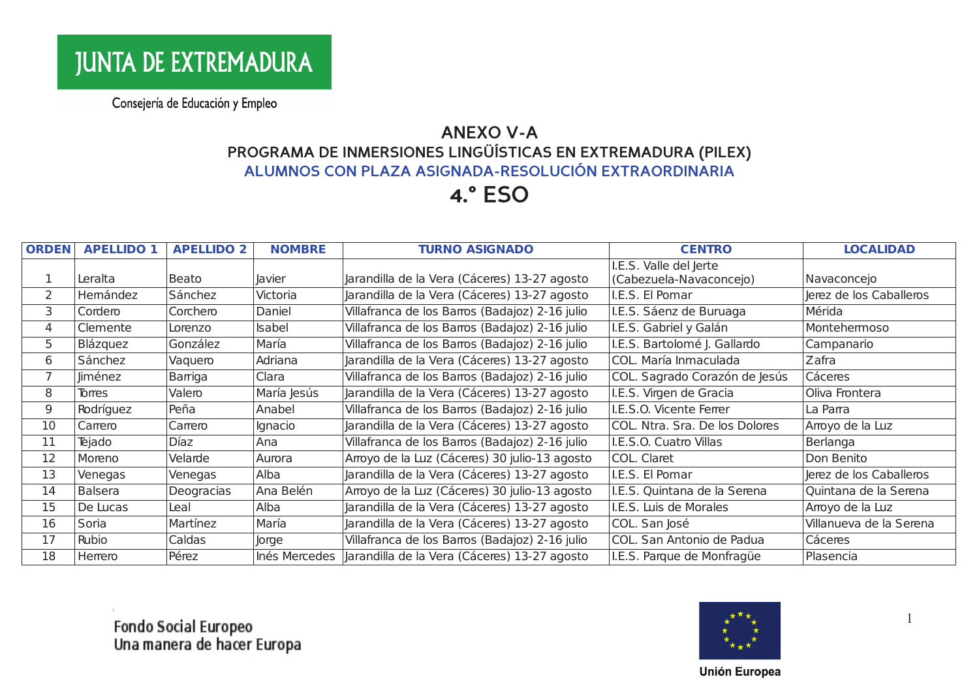# **ANEXO V-A** PROGRAMA DE INMERSIONES LINGÜÍSTICAS EN EXTREMADURA (PILEX)<br>ALUMNOS CON PLAZA ASIGNADA-RESOLUCIÓN EXTRAORDINARIA

#### **4.° ESO**

| <b>ORDEN</b>   | <b>APELLIDO 1</b> | <b>APELLIDO 2</b> | <b>NOMBRE</b> | <b>TURNO ASIGNADO</b>                          | <b>CENTRO</b>                                     | <b>LOCALIDAD</b>        |
|----------------|-------------------|-------------------|---------------|------------------------------------------------|---------------------------------------------------|-------------------------|
|                | Leralta           | Beato             | <b>Javier</b> | Jarandilla de la Vera (Cáceres) 13-27 agosto   | I.E.S. Valle del Jerte<br>(Cabezuela-Navaconcejo) | Navaconcejo             |
| $\overline{2}$ | Hemández          | Sánchez           | Victoria      | Jarandilla de la Vera (Cáceres) 13-27 agosto   | I.E.S. El Pomar                                   | Jerez de los Caballeros |
| 3              | Cordero           | Corchero          | Daniel        | Villafranca de los Barros (Badajoz) 2-16 julio | I.E.S. Sáenz de Buruaga                           | Mérida                  |
| 4              | Clemente          | Lorenzo           | Isabel        | Villafranca de los Barros (Badajoz) 2-16 julio | I.E.S. Gabriel y Galán                            | Montehermoso            |
| 5              | Blázquez          | González          | María         | Villafranca de los Barros (Badajoz) 2-16 julio | I.E.S. Bartolomé J. Gallardo                      | Campanario              |
| 6              | Sánchez           | Vaquero           | Adriana       | Jarandilla de la Vera (Cáceres) 13-27 agosto   | COL. María Inmaculada                             | Zafra                   |
| 7              | Jiménez           | Barriga           | Clara         | Villafranca de los Barros (Badajoz) 2-16 julio | COL. Sagrado Corazón de Jesús                     | Cáceres                 |
| 8              | Torres            | Valero            | María Jesús   | Jarandilla de la Vera (Cáceres) 13-27 agosto   | I.E.S. Virgen de Gracia                           | Oliva Frontera          |
| 9              | Rodríguez         | Peña              | Anabel        | Villafranca de los Barros (Badajoz) 2-16 julio | I.E.S.O. Vicente Ferrer                           | La Parra                |
| 10             | Carrero           | Carrero           | Ignacio       | Jarandilla de la Vera (Cáceres) 13-27 agosto   | COL. Ntra. Sra. De los Dolores                    | Arroyo de la Luz        |
| 11             | Tejado            | Díaz              | Ana           | Villafranca de los Barros (Badajoz) 2-16 julio | I.E.S.O. Cuatro Villas                            | Berlanga                |
| 12             | Moreno            | Velarde           | Aurora        | Arroyo de la Luz (Cáceres) 30 julio-13 agosto  | COL. Claret                                       | Don Benito              |
| 13             | Venegas           | Venegas           | Alba          | Jarandilla de la Vera (Cáceres) 13-27 agosto   | I.E.S. El Pomar                                   | Jerez de los Caballeros |
| 14             | <b>Balsera</b>    | Deogracias        | Ana Belén     | Arroyo de la Luz (Cáceres) 30 julio-13 agosto  | I.E.S. Quintana de la Serena                      | Quintana de la Serena   |
| 15             | De Lucas          | Leal              | Alba          | Jarandilla de la Vera (Cáceres) 13-27 agosto   | I.E.S. Luis de Morales                            | Arroyo de la Luz        |
| 16             | Soria             | Martínez          | María         | Jarandilla de la Vera (Cáceres) 13-27 agosto   | COL. San José                                     | Villanueva de la Serena |
| 17             | Rubio             | Caldas            | Jorge         | Villafranca de los Barros (Badajoz) 2-16 julio | COL. San Antonio de Padua                         | Cáceres                 |
| 18             | Herrero           | Pérez             | Inés Mercedes | Jarandilla de la Vera (Cáceres) 13-27 agosto   | I.E.S. Parque de Monfragüe                        | Plasencia               |

Fondo Social Europeo<br>Una manera de hacer Europa



 $\overline{1}$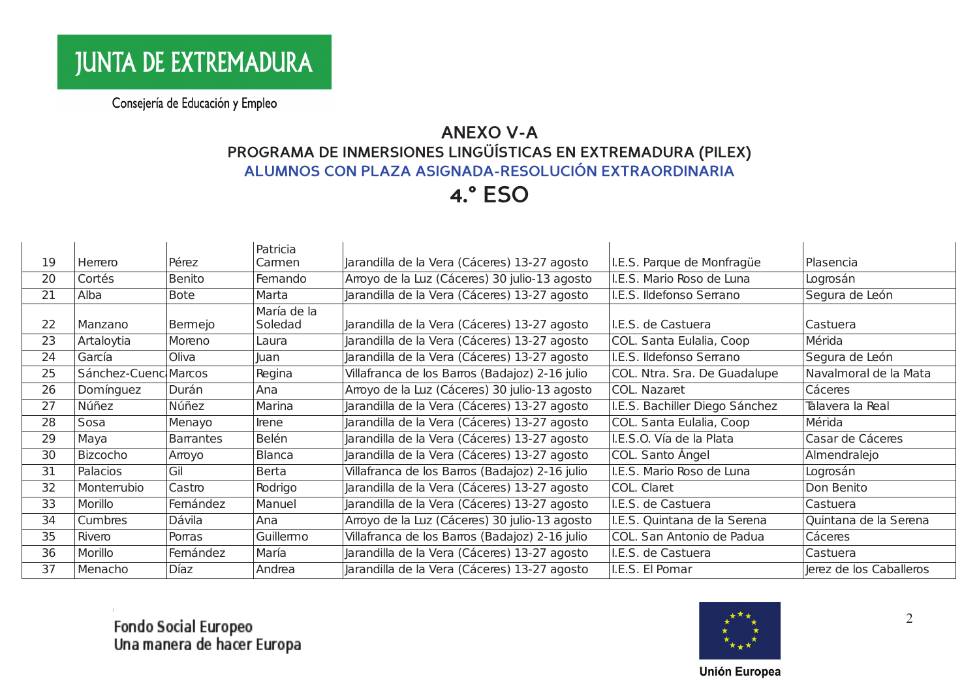# **ANEXO V-A** PROGRAMA DE INMERSIONES LINGÜÍSTICAS EN EXTREMADURA (PILEX)<br>ALUMNOS CON PLAZA ASIGNADA-RESOLUCIÓN EXTRAORDINARIA

#### **4.° ESO**

|    |                      |                  | Patricia               |                                                |                                |                         |
|----|----------------------|------------------|------------------------|------------------------------------------------|--------------------------------|-------------------------|
| 19 | Herrero              | Pérez            | Camen                  | Jarandilla de la Vera (Cáceres) 13-27 agosto   | I.E.S. Parque de Monfragüe     | Plasencia               |
| 20 | Cortés               | Benito           | Femando                | Arroyo de la Luz (Cáceres) 30 julio-13 agosto  | I.E.S. Mario Roso de Luna      | Logrosán                |
| 21 | Alba                 | <b>Bote</b>      | Marta                  | Jarandilla de la Vera (Cáceres) 13-27 agosto   | I.E.S. Ildefonso Serrano       | Segura de León          |
| 22 | Manzano              | Bermejo          | María de la<br>Soledad | Jarandilla de la Vera (Cáceres) 13-27 agosto   | I.E.S. de Castuera             | Castuera                |
| 23 | Artaloytia           | Moreno           | Laura                  | Jarandilla de la Vera (Cáceres) 13-27 agosto   | COL. Santa Eulalia, Coop       | Mérida                  |
| 24 | García               | Oliva            | <b>Juan</b>            | Jarandilla de la Vera (Cáceres) 13-27 agosto   | I.E.S. Ildefonso Serrano       | Segura de León          |
| 25 | Sánchez-Cuenc Marcos |                  | Regina                 | Villafranca de los Barros (Badajoz) 2-16 julio | COL. Ntra. Sra. De Guadalupe   | Navalmoral de la Mata   |
| 26 | Domínguez            | Durán            | Ana                    | Arroyo de la Luz (Cáceres) 30 julio-13 agosto  | COL. Nazaret                   | Cáceres                 |
| 27 | Núñez                | Núñez            | Marina                 | Jarandilla de la Vera (Cáceres) 13-27 agosto   | I.E.S. Bachiller Diego Sánchez | Talavera la Real        |
| 28 | Sosa                 | Menayo           | Irene                  | Jarandilla de la Vera (Cáceres) 13-27 agosto   | COL. Santa Eulalia, Coop       | Mérida                  |
| 29 | Maya                 | <b>Barrantes</b> | <b>Belén</b>           | Jarandilla de la Vera (Cáceres) 13-27 agosto   | I.E.S.O. Vía de la Plata       | Casar de Cáceres        |
| 30 | Bizcocho             | Arroyo           | <b>Blanca</b>          | Jarandilla de la Vera (Cáceres) 13-27 agosto   | COL. Santo Ángel               | Almendralejo            |
| 31 | Palacios             | Gil              | <b>Berta</b>           | Villafranca de los Barros (Badajoz) 2-16 julio | I.E.S. Mario Roso de Luna      | Logrosán                |
| 32 | Monterrubio          | Castro           | Rodrigo                | Jarandilla de la Vera (Cáceres) 13-27 agosto   | COL. Claret                    | Don Benito              |
| 33 | Morillo              | Femández         | Manuel                 | Jarandilla de la Vera (Cáceres) 13-27 agosto   | I.E.S. de Castuera             | Castuera                |
| 34 | Cumbres              | Dávila           | Ana                    | Arroyo de la Luz (Cáceres) 30 julio-13 agosto  | I.E.S. Quintana de la Serena   | Quintana de la Serena   |
| 35 | Rivero               | Porras           | Guillemo               | Villafranca de los Barros (Badajoz) 2-16 julio | COL. San Antonio de Padua      | Cáceres                 |
| 36 | Morillo              | Femández         | María                  | Jarandilla de la Vera (Cáceres) 13-27 agosto   | I.E.S. de Castuera             | Castuera                |
| 37 | Menacho              | Díaz             | Andrea                 | Jarandilla de la Vera (Cáceres) 13-27 agosto   | I.E.S. El Pomar                | Jerez de los Caballeros |

Fondo Social Europeo<br>Una manera de hacer Europa



2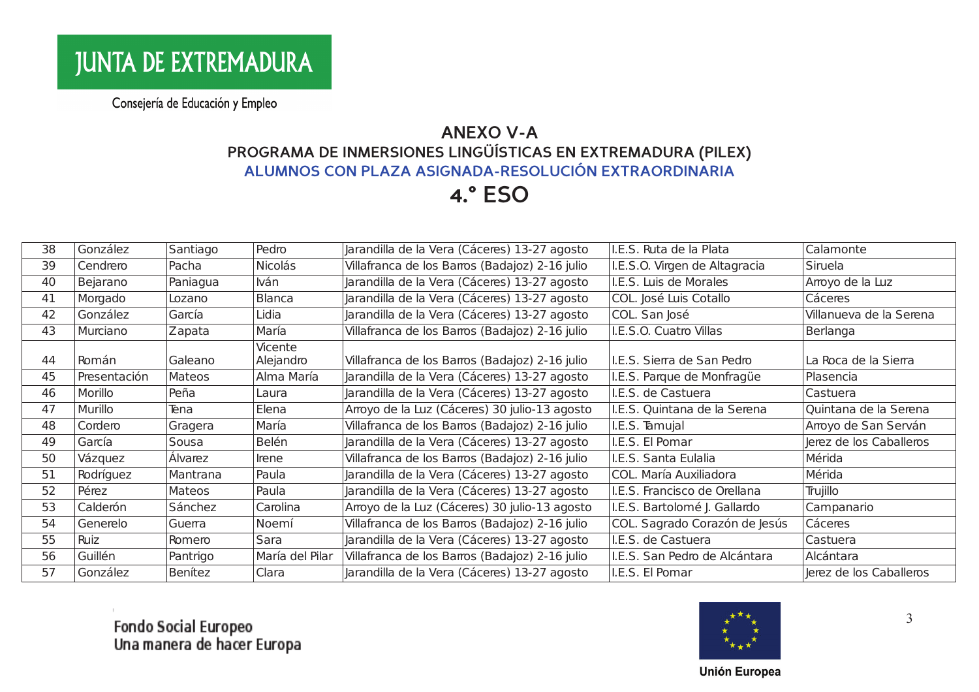# **ANEXO V-A** PROGRAMA DE INMERSIONES LINGÜÍSTICAS EN EXTREMADURA (PILEX)<br>ALUMNOS CON PLAZA ASIGNADA-RESOLUCIÓN EXTRAORDINARIA

### **4.° ESO**

| 38 | González     | Santiago       | Pedro                | Jarandilla de la Vera (Cáceres) 13-27 agosto   | I.E.S. Ruta de la Plata       | Calamonte               |
|----|--------------|----------------|----------------------|------------------------------------------------|-------------------------------|-------------------------|
| 39 | Cendrero     | Pacha          | Nicolás              | Villafranca de los Barros (Badajoz) 2-16 julio | I.E.S.O. Virgen de Altagracia | Siruela                 |
| 40 | Bejarano     | Paniagua       | lván                 | Jarandilla de la Vera (Cáceres) 13-27 agosto   | I.E.S. Luis de Morales        | Arroyo de la Luz        |
| 41 | Morgado      | Lozano         | Blanca               | Jarandilla de la Vera (Cáceres) 13-27 agosto   | COL. José Luis Cotallo        | Cáceres                 |
| 42 | González     | García         | Lidia                | Jarandilla de la Vera (Cáceres) 13-27 agosto   | COL. San José                 | Villanueva de la Serena |
| 43 | Murciano     | Zapata         | María                | Villafranca de los Barros (Badajoz) 2-16 julio | I.E.S.O. Cuatro Villas        | Berlanga                |
| 44 | Román        | Galeano        | Vicente<br>Alejandro | Villafranca de los Barros (Badajoz) 2-16 julio | I.E.S. Sierra de San Pedro    | La Roca de la Sierra    |
| 45 | Presentación | <b>Mateos</b>  | Alma María           | Jarandilla de la Vera (Cáceres) 13-27 agosto   | I.E.S. Parque de Monfragüe    | Plasencia               |
| 46 | Morillo      | Peña           | Laura                | Jarandilla de la Vera (Cáceres) 13-27 agosto   | I.E.S. de Castuera            | Castuera                |
| 47 | Murillo      | Tena           | Elena                | Arroyo de la Luz (Cáceres) 30 julio-13 agosto  | I.E.S. Quintana de la Serena  | Quintana de la Serena   |
| 48 | Cordero      | Gragera        | María                | Villafranca de los Barros (Badajoz) 2-16 julio | I.E.S. Tamujal                | Arroyo de San Serván    |
| 49 | García       | Sousa          | <b>Belén</b>         | Jarandilla de la Vera (Cáceres) 13-27 agosto   | I.E.S. El Pomar               | Jerez de los Caballeros |
| 50 | Vázquez      | Álvarez        | Irene                | Villafranca de los Barros (Badajoz) 2-16 julio | I.E.S. Santa Eulalia          | Mérida                  |
| 51 | Rodríguez    | Mantrana       | Paula                | Jarandilla de la Vera (Cáceres) 13-27 agosto   | COL. María Auxiliadora        | Mérida                  |
| 52 | Pérez        | Mateos         | Paula                | Jarandilla de la Vera (Cáceres) 13-27 agosto   | I.E.S. Francisco de Orellana  | Trujillo                |
| 53 | Calderón     | Sánchez        | Carolina             | Arroyo de la Luz (Cáceres) 30 julio-13 agosto  | I.E.S. Bartolomé J. Gallardo  | Campanario              |
| 54 | Generelo     | Guerra         | Noemí                | Villafranca de los Barros (Badajoz) 2-16 julio | COL. Sagrado Corazón de Jesús | Cáceres                 |
| 55 | Ruiz         | Romero         | Sara                 | Jarandilla de la Vera (Cáceres) 13-27 agosto   | I.E.S. de Castuera            | Castuera                |
| 56 | Guillén      | Pantrigo       | María del Pilar      | Villafranca de los Barros (Badajoz) 2-16 julio | I.E.S. San Pedro de Alcántara | Alcántara               |
| 57 | González     | <b>Benítez</b> | Clara                | Jarandilla de la Vera (Cáceres) 13-27 agosto   | I.E.S. El Pomar               | Jerez de los Caballeros |

Fondo Social Europeo<br>Una manera de hacer Europa



 $\overline{3}$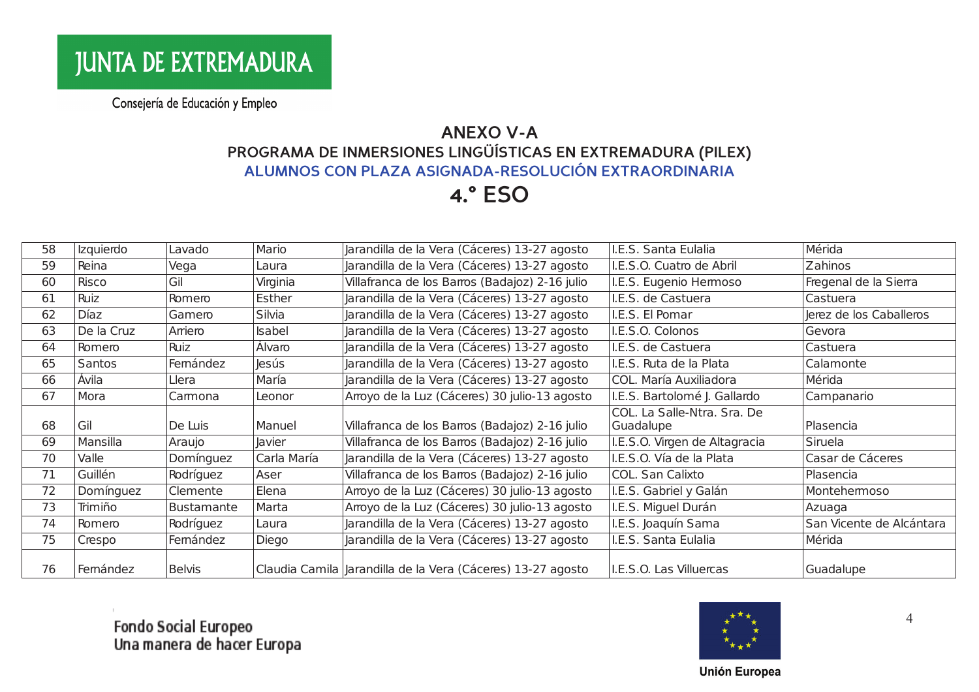# **ANEXO V-A** PROGRAMA DE INMERSIONES LINGÜÍSTICAS EN EXTREMADURA (PILEX)<br>ALUMNOS CON PLAZA ASIGNADA-RESOLUCIÓN EXTRAORDINARIA

### **4.° ESO**

| 58 | Izquierdo  | Lavado            | Mario        | Jarandilla de la Vera (Cáceres) 13-27 agosto                  | I.E.S. Santa Eulalia          | Mérida                   |
|----|------------|-------------------|--------------|---------------------------------------------------------------|-------------------------------|--------------------------|
| 59 | Reina      | Vega              | Laura        | Jarandilla de la Vera (Cáceres) 13-27 agosto                  | I.E.S.O. Cuatro de Abril      | Zahinos                  |
| 60 | Risco      | Gil               | Virginia     | Villafranca de los Barros (Badajoz) 2-16 julio                | I.E.S. Eugenio Hermoso        | Fregenal de la Sierra    |
| 61 | Ruiz       | Romero            | Esther       | Jarandilla de la Vera (Cáceres) 13-27 agosto                  | I.E.S. de Castuera            | Castuera                 |
| 62 | Díaz       | Gamero            | Silvia       | Jarandilla de la Vera (Cáceres) 13-27 agosto                  | I.E.S. El Pomar               | Jerez de los Caballeros  |
| 63 | De la Cruz | Arriero           | Isabel       | Jarandilla de la Vera (Cáceres) 13-27 agosto                  | I.E.S.O. Colonos              | Gevora                   |
| 64 | Romero     | Ruiz              | Álvaro       | Jarandilla de la Vera (Cáceres) 13-27 agosto                  | I.E.S. de Castuera            | Castuera                 |
| 65 | Santos     | Femández          | <b>Jesús</b> | Jarandilla de la Vera (Cáceres) 13-27 agosto                  | I.E.S. Ruta de la Plata       | Calamonte                |
| 66 | Ávila      | Llera             | María        | Jarandilla de la Vera (Cáceres) 13-27 agosto                  | COL. María Auxiliadora        | Mérida                   |
| 67 | Mora       | Camona            | Leonor       | Arroyo de la Luz (Cáceres) 30 julio-13 agosto                 | I.E.S. Bartolomé J. Gallardo  | Campanario               |
|    |            |                   |              |                                                               | COL. La Salle-Ntra. Sra. De   |                          |
| 68 | Gil        | De Luis           | Manuel       | Villafranca de los Barros (Badajoz) 2-16 julio                | Guadalupe                     | Plasencia                |
| 69 | Mansilla   | Araujo            | Javier       | Villafranca de los Barros (Badajoz) 2-16 julio                | I.E.S.O. Virgen de Altagracia | Siruela                  |
| 70 | Valle      | Domínguez         | Carla María  | Jarandilla de la Vera (Cáceres) 13-27 agosto                  | I.E.S.O. Vía de la Plata      | Casar de Cáceres         |
| 71 | Guillén    | Rodríguez         | Aser         | Villafranca de los Barros (Badajoz) 2-16 julio                | COL. San Calixto              | Plasencia                |
| 72 | Domínguez  | Clemente          | Elena        | Arroyo de la Luz (Cáceres) 30 julio-13 agosto                 | I.E.S. Gabriel y Galán        | Montehermoso             |
| 73 | Trimiño    | <b>Bustamante</b> | Marta        | Arroyo de la Luz (Cáceres) 30 julio-13 agosto                 | I.E.S. Miguel Durán           | Azuaga                   |
| 74 | Romero     | Rodríguez         | Laura        | Jarandilla de la Vera (Cáceres) 13-27 agosto                  | I.E.S. Joaquín Sama           | San Vicente de Alcántara |
| 75 | Crespo     | Femández          | Diego        | Jarandilla de la Vera (Cáceres) 13-27 agosto                  | I.E.S. Santa Eulalia          | Mérida                   |
|    |            |                   |              |                                                               |                               |                          |
| 76 | Femández   | <b>Belvis</b>     |              | Claudia Camila   Jarandilla de la Vera (Cáceres) 13-27 agosto | I.E.S.O. Las Villuercas       | Guadalupe                |

Fondo Social Europeo<br>Una manera de hacer Europa



 $\overline{4}$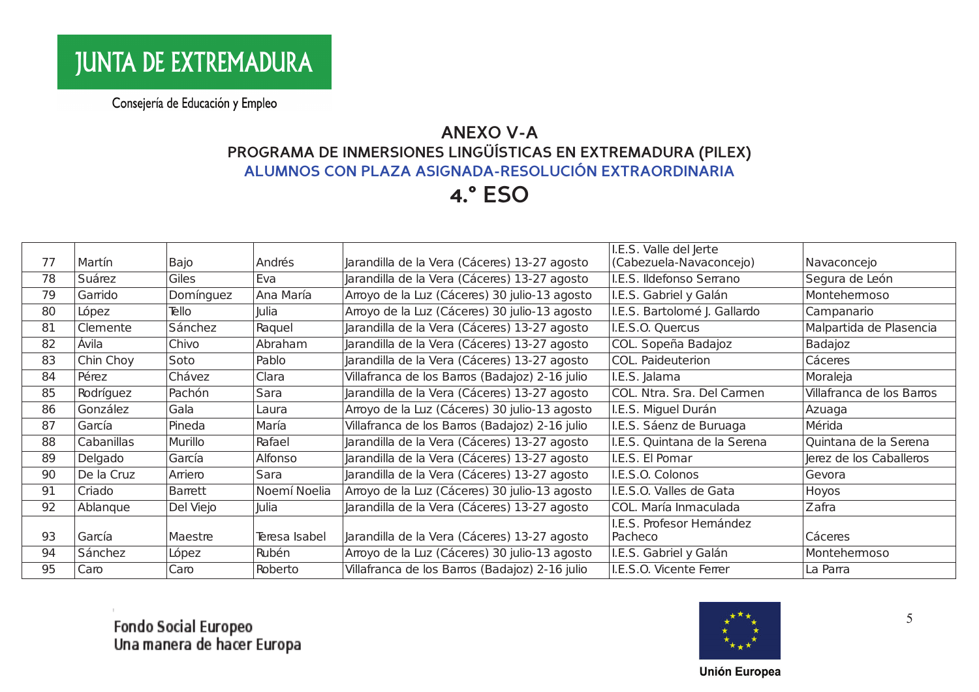# **ANEXO V-A** PROGRAMA DE INMERSIONES LINGÜÍSTICAS EN EXTREMADURA (PILEX)<br>ALUMNOS CON PLAZA ASIGNADA-RESOLUCIÓN EXTRAORDINARIA

#### **4.° ESO**

|    |            |           |               |                                                | I.E.S. Valle del Jerte       |                           |
|----|------------|-----------|---------------|------------------------------------------------|------------------------------|---------------------------|
| 77 | Martín     | Bajo      | Andrés        | Jarandilla de la Vera (Cáceres) 13-27 agosto   | (Cabezuela-Navaconcejo)      | Navaconcejo               |
| 78 | Suárez     | Giles     | Eva           | Jarandilla de la Vera (Cáceres) 13-27 agosto   | I.E.S. Ildefonso Serrano     | Segura de León            |
| 79 | Garrido    | Domínguez | Ana María     | Arroyo de la Luz (Cáceres) 30 julio-13 agosto  | I.E.S. Gabriel y Galán       | Montehemoso               |
| 80 | López      | Tello     | Julia         | Arroyo de la Luz (Cáceres) 30 julio-13 agosto  | I.E.S. Bartolomé J. Gallardo | Campanario                |
| 81 | Clemente   | Sánchez   | Raquel        | Jarandilla de la Vera (Cáceres) 13-27 agosto   | I.E.S.O. Quercus             | Malpartida de Plasencia   |
| 82 | Ávila      | Chivo     | Abraham       | Jarandilla de la Vera (Cáceres) 13-27 agosto   | COL. Sopeña Badajoz          | Badajoz                   |
| 83 | Chin Choy  | Soto      | Pablo         | Jarandilla de la Vera (Cáceres) 13-27 agosto   | COL. Paideuterion            | Cáceres                   |
| 84 | Pérez      | Chávez    | Clara         | Villafranca de los Barros (Badajoz) 2-16 julio | I.E.S. Jalama                | Moraleja                  |
| 85 | Rodríguez  | Pachón    | Sara          | Jarandilla de la Vera (Cáceres) 13-27 agosto   | COL. Ntra. Sra. Del Carmen   | Villafranca de los Barros |
| 86 | González   | Gala      | Laura         | Arroyo de la Luz (Cáceres) 30 julio-13 agosto  | I.E.S. Miguel Durán          | Azuaga                    |
| 87 | García     | Pineda    | María         | Villafranca de los Barros (Badajoz) 2-16 julio | I.E.S. Sáenz de Buruaga      | Mérida                    |
| 88 | Cabanillas | Murillo   | Rafael        | Jarandilla de la Vera (Cáceres) 13-27 agosto   | I.E.S. Quintana de la Serena | Quintana de la Serena     |
| 89 | Delgado    | García    | Alfonso       | Jarandilla de la Vera (Cáceres) 13-27 agosto   | I.E.S. El Pomar              | Jerez de los Caballeros   |
| 90 | De la Cruz | Arriero   | Sara          | Jarandilla de la Vera (Cáceres) 13-27 agosto   | I.E.S.O. Colonos             | Gevora                    |
| 91 | Criado     | Barrett   | Noemí Noelia  | Arroyo de la Luz (Cáceres) 30 julio-13 agosto  | I.E.S.O. Valles de Gata      | Hoyos                     |
| 92 | Ablanque   | Del Viejo | Julia         | Jarandilla de la Vera (Cáceres) 13-27 agosto   | COL. María Inmaculada        | Zafra                     |
|    |            |           |               |                                                | I.E.S. Profesor Hemández     |                           |
| 93 | García     | Maestre   | Teresa Isabel | Jarandilla de la Vera (Cáceres) 13-27 agosto   | Pacheco                      | Cáceres                   |
| 94 | Sánchez    | López     | Rubén         | Arroyo de la Luz (Cáceres) 30 julio-13 agosto  | I.E.S. Gabriel y Galán       | Montehermoso              |
| 95 | Caro       | Caro      | Roberto       | Villafranca de los Barros (Badajoz) 2-16 julio | I.E.S.O. Vicente Ferrer      | La Parra                  |

Fondo Social Europeo<br>Una manera de hacer Europa



5